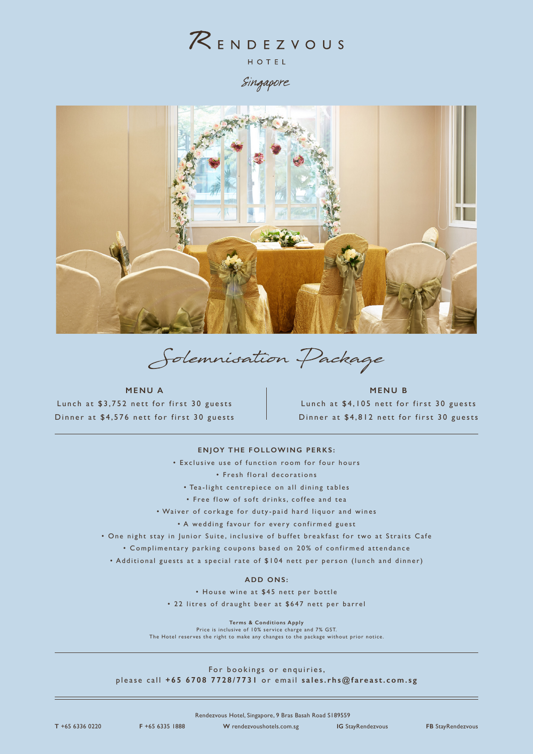

Singapore



Solemnisation Package

**MENU A** Lunch at \$3,752 nett for first 30 guests Dinner at \$4,576 nett for first 30 guests

# **MENU B** Lunch at \$4,105 nett for first 30 guests Dinner at \$4,812 nett for first 30 guests

### **ENJOY THE FOLLOWING PERKS:**

• Exclusive use of function room for four hours

• Fresh floral decorations

- Tea-light centrepiece on all dining tables
- Free flow of soft drinks, coffee and tea

• Waiver of corkage for duty-paid hard liquor and wines

• A wedding favour for every confirmed guest

• One night stay in Junior Suite, inclusive of buffet breakfast for two at Straits Cafe

• Complimentary parking coupons based on 20% of confirmed attendance

• Additional guests at a special rate of \$104 nett per person (lunch and dinner)

### **ADD ONS:**

• House wine at \$45 nett per bottle

• 22 litres of draught beer at \$647 nett per barrel

**Terms & Conditions Apply**

Price is inclusive of 10% service charge and 7% GST.

The Hotel reserves the right to make any changes to the package without prior notice.

For bookings or enquiries, please call **+65 6708 7728/7731** or email **sales.rhs@fareast.com.sg**

Rendezvous Hotel, Singapore, 9 Bras Basah Road S189559

**T** +65 6336 0220 **F** +65 6335 1888 **W** rendezvoushotels.com.sg **IG** StayRendezvous **FB** StayRendezvous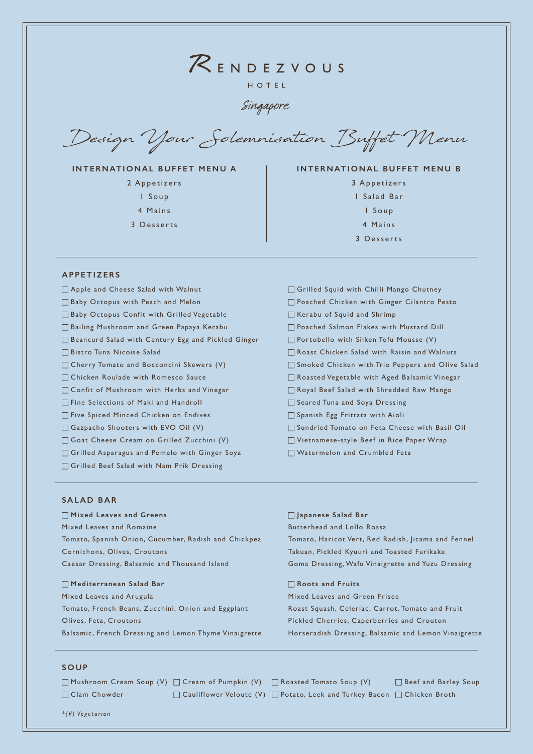# $R$ ENDEZVOUS HOTEL

Singapore

Design Your Solemnisation Buffet Menu

# **INTERNATIONAL BUFFET MENU A**

2 Appetizers 1 Soup

- 4 Mains
- 3 Desserts

# **INTERNATIONAL BUFFET MENU B**

3 Appetizers 1 Salad Bar 1 S o u p 4 Mains 3 Desserts

# **APPETIZERS**

- Apple and Cheese Salad with Walnut
- $\Box$  Baby Octopus with Peach and Melon
- Baby Octopus Confit with Grilled Vegetable
- Bailing Mushroom and Green Papaya Kerabu
- Beancurd Salad with Century Egg and Pickled Ginger
- $\Box$  Bistro Tuna Nicoise Salad
- $\Box$  Cherry Tomato and Bocconcini Skewers (V)
- **Chicken Roulade with Romesco Sauce**
- $\Box$  Confit of Mushroom with Herbs and Vinegar
- Fine Selections of Maki and Handroll
- Five Spiced Minced Chicken on Endives
- $\Box$  Gazpacho Shooters with EVO Oil (V)
- Goat Cheese Cream on Grilled Zucchini (V)
- $\Box$  Grilled Asparagus and Pomelo with Ginger Soya
- Grilled Beef Salad with Nam Prik Dressing
- Grilled Squid with Chilli Mango Chutney □ Poached Chicken with Ginger Cilantro Pesto  $\Box$  Kerabu of Squid and Shrimp **Poached Salmon Flakes with Mustard Dill**  $\Box$  Portobello with Silken Tofu Mousse (V) Roast Chicken Salad with Raisin and Walnuts G Smoked Chicken with Trio Peppers and Olive Salad c Roasted Vegetable with Aged Balsamic Vinegar Royal Beef Salad with Shredded Raw Mango G Seared Tuna and Soya Dressing **G** Spanish Egg Frittata with Aioli □ Sundried Tomato on Feta Cheese with Basil Oil c Vietnamese-style Beef in Rice Paper Wrap  $\Box$  Watermelon and Crumbled Feta

### **SALAD BAR**

# c **Mixed Leaves and Greens** Mixed Leaves and Romaine Tomato, Spanish Onion, Cucumber, Radish and Chickpea Cornichons, Olives, Croutons Caesar Dressing, Balsamic and Thousand Island

### c **Mediterranean Salad Bar**

Mixed Leaves and Arugula Tomato, French Beans, Zucchini, Onion and Eggplant Olives, Feta, Croutons Balsamic, French Dressing and Lemon Thyme Vinaigrette

### c **Japanese Salad Bar**

Butterhead and Lollo Rossa Tomato, Haricot Vert, Red Radish, Jicama and Fennel Takuan, Pickled Kyuuri and Toasted Furikake Goma Dressing, Wafu Vinaigrette and Yuzu Dressing

### c **Roots and Fruits**

Mixed Leaves and Green Frisee Roast Squash, Celeriac, Carrot, Tomato and Fruit Pickled Cherries, Caperberries and Crouton Horseradish Dressing, Balsamic and Lemon Vinaigrette

### **SOUP**

□ Mushroom Cream Soup (V) □ Cream of Pumpkin (V) □ Roasted Tomato Soup (V)  $\Box$  Clam Chowder □ Cauliflower Veloute (V) □ Potato, Leek and Turkey Bacon □ Chicken Broth  $\Box$  Beef and Barley Soup

*\*(V) Vegetarian*